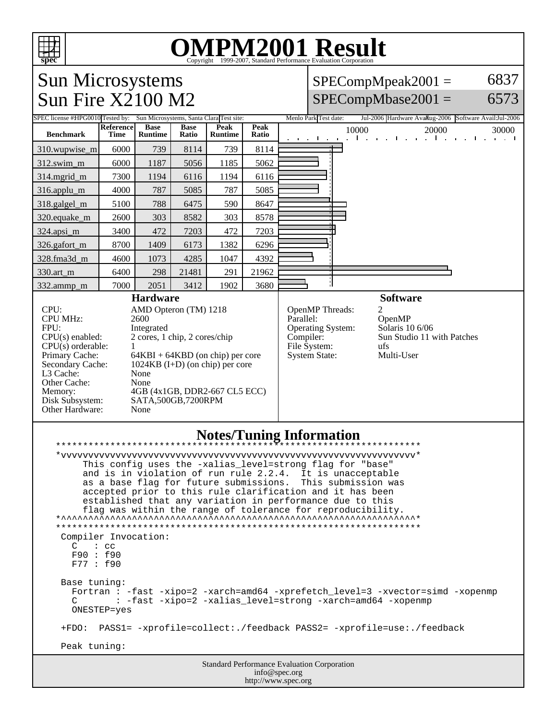

## OMPM2001 Result to Evaluation Corporation

6837

6573

## Sun Microsystems  $SPECompMpeak2001 =$ Sun Fire X2100 M2  $SPECompMbase2001 =$ SPEC license #HPG0010 Tested by: Sun Microsystems, Santa Clara Test site: Menlo Park Test date: Jul-2006 Hardware Avail: Jul-2006 Software Avail: Jul-2006 **Base Reference Base Peak Peak Ratio** 10000 20000 30000 **Benchmark Runtime Time Ratio Runtime** 310.wupwise\_m 6000 739 8114 739 8114 312.swim\_m 6000 1187 5056 1185 5062 314.mgrid\_m 7300 1194 6116 1194 6116 316.applu\_m | 4000 | 787 | 5085 | 787 | 5085 318.galgel\_m | 5100 | 788 | 6475 | 590 | 8647 320.equake\_m | 2600 | 303 | 8582 | 303 | 8578 324.apsi\_m | 3400 472 7203 472 7203 326.gafort\_m | 8700 | 1409 | 6173 | 1382 | 6296 328.fma3d\_m | 4600 | 1073 | 4285 | 1047 | 4392 330.art\_m 6400 298 21481 291 21962 ł. 332.ammp\_m | 7000 | 2051 | 3412 | 1902 | 3680 **Hardware Software** CPU: AMD Opteron (TM) 1218 OpenMP Threads: 2<br>Parallel: 6 CPU MHz: 2600 OpenMP<br>Solaris 10 6/06 FPU: Integrated Operating System: CPU(s) enabled: 2 cores, 1 chip, 2 cores/chip Compiler: Sun Studio 11 with Patches CPU(s) orderable: 1<br>Primary Cache: 6 File System: ufs<br>System State: Multi-User Primary Cache: 64KBI + 64KBD (on chip) per core<br>Secondary Cache: 1024KB (I+D) (on chip) per core System State:  $1024KB$  (I+D) (on chip) per core L3 Cache: None Other Cache: None Memory: 4GB (4x1GB, DDR2-667 CL5 ECC)<br>Disk Subsystem: SATA,500GB,7200RPM Disk Subsystem: SATA,500GB,7200RPM Other Hardware: None **Notes/Tuning Information** \*\*\*\*\*\*\*\*\*\*\*\*\*\*\*\*\*\*\*\*\*\*\*\*\*\*\*\*\*\*\*\*\*\*\*\*\*\*\*\*\*\*\*\*\*\*\*\*\*\*\*\*\*\*\*\*\*\*\*\*\*\*\*\*\*\*\* \*vvvvvvvvvvvvvvvvvvvvvvvvvvvvvvvvvvvvvvvvvvvvvvvvvvvvvvvvvvvvvvvvv\* This config uses the -xalias\_level=strong flag for "base" and is in violation of run rule 2.2.4. It is unacceptable as a base flag for future submissions. This submission was accepted prior to this rule clarification and it has been established that any variation in performance due to this flag was within the range of tolerance for reproducibility.  $*$

\*\*\*\*\*\*\*\*\*\*\*\*\*\*\*\*\*\*\*\*\*\*\*\*\*\*\*\*\*\*\*\*\*\*\*\*\*\*\*\*\*\*\*\*\*\*\*\*\*\*\*\*\*\*\*\*\*\*\*\*\*\*\*\*\*\*\*

 Compiler Invocation:  $C$  :  $cc$  F90 : f90 F77 : f90

Base tuning:

Fortran : -fast -xipo=2 -xarch=amd64 -xprefetch\_level=3 -xvector=simd -xopenmp<br>C : -fast -xipo=2 -xalias level=strong -xarch=amd64 -xopenmp : -fast -xipo=2 -xalias\_level=strong -xarch=amd64 -xopenmp ONESTEP=yes

+FDO: PASS1= -xprofile=collect:./feedback PASS2= -xprofile=use:./feedback

Peak tuning:

Standard Performance Evaluation Corporation info@spec.org http://www.spec.org